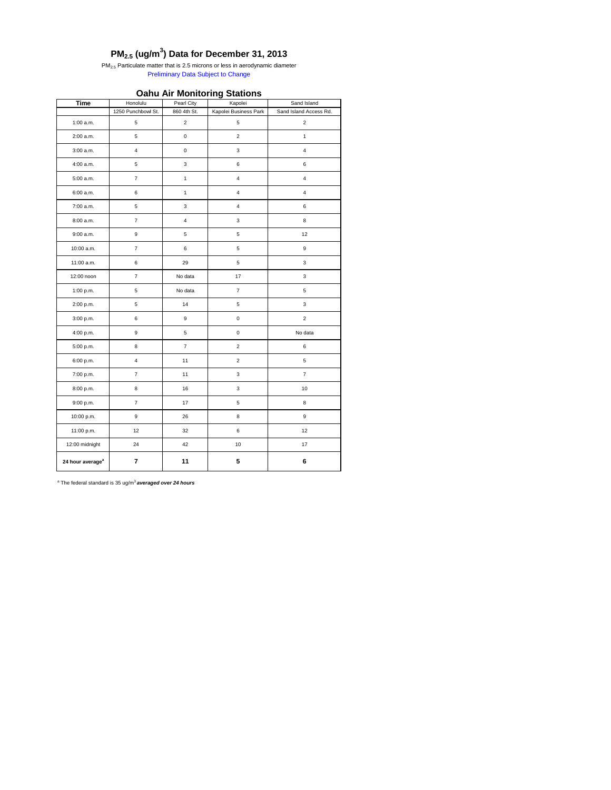|                              |                         |                           | <u>ჟ</u>                  |                        |  |
|------------------------------|-------------------------|---------------------------|---------------------------|------------------------|--|
| <b>Time</b>                  | Honolulu                | Pearl City                | Kapolei                   | Sand Island            |  |
|                              | 1250 Punchbowl St.      | 860 4th St.               | Kapolei Business Park     | Sand Island Access Rd. |  |
| $1:00$ a.m.                  | 5                       | $\mathbf 2$               | $\mathbf 5$               | $\overline{2}$         |  |
| 2:00 a.m.                    | $\mathbf 5$             | $\mathbf 0$               | $\mathbf 2$               | $\mathbf{1}$           |  |
| 3:00 a.m.                    | $\overline{\mathbf{4}}$ | $\mathbf 0$               | $\ensuremath{\mathsf{3}}$ | $\overline{4}$         |  |
| 4:00 a.m.                    | $\,$ 5 $\,$             | $\ensuremath{\mathsf{3}}$ | 6                         | $\,6\,$                |  |
| 5:00 a.m.                    | $\boldsymbol{7}$        | $\mathbf{1}$              | $\overline{4}$            | $\overline{4}$         |  |
| $6:00$ a.m.                  | 6                       | $\mathbf{1}$              | $\overline{4}$            | $\overline{4}$         |  |
| 7:00 a.m.                    | 5                       | $\ensuremath{\mathsf{3}}$ | $\overline{4}$            | 6                      |  |
| 8:00 a.m.                    | $\overline{\mathbf{7}}$ | $\overline{\mathbf{4}}$   | $\ensuremath{\mathsf{3}}$ | $\bf 8$                |  |
| 9:00 a.m.                    | 9                       | $\,$ 5 $\,$               | $\mathbf 5$               | 12                     |  |
| 10:00 a.m.                   | $\boldsymbol{7}$        | 6                         | $\mathbf 5$               | $\boldsymbol{9}$       |  |
| 11:00 a.m.                   | 6                       | 29                        | $\mathbf 5$               | $\mathbf{3}$           |  |
| 12:00 noon                   | $\boldsymbol{7}$        | No data                   | 17                        | $\mathbf{3}$           |  |
| 1:00 p.m.                    | $\,$ 5 $\,$             | No data                   | $\boldsymbol{7}$          | $\mathbf 5$            |  |
| 2:00 p.m.                    | $\,$ 5 $\,$             | 14                        | $\mathbf 5$               | $\mathbf{3}$           |  |
| 3:00 p.m.                    | $\,6$                   | $\boldsymbol{9}$          | $\mathbf 0$               | $\sqrt{2}$             |  |
| 4:00 p.m.                    | $\boldsymbol{9}$        | $\mathbf 5$               | $\pmb{0}$                 | No data                |  |
| 5:00 p.m.                    | 8                       | $\boldsymbol{7}$          | $\mathbf 2$               | 6                      |  |
| 6:00 p.m.                    | $\overline{4}$          | 11                        | $\mathbf 2$               | $\mathbf 5$            |  |
| 7:00 p.m.                    | $\boldsymbol{7}$        | 11                        | $\ensuremath{\mathsf{3}}$ | $\boldsymbol{7}$       |  |
| 8:00 p.m.                    | 8                       | 16                        | 3                         | 10                     |  |
| 9:00 p.m.                    | $\boldsymbol{7}$        | 17                        | $\sqrt{5}$                | $\bf 8$                |  |
| 10:00 p.m.                   | $\boldsymbol{9}$        | 26                        | 8                         | $\boldsymbol{9}$       |  |
| 11:00 p.m.                   | 12                      | 32                        | $\,6\,$                   | 12                     |  |
| 12:00 midnight               | 24                      | 42                        | $10\,$                    | $17\,$                 |  |
| 24 hour average <sup>a</sup> | $\overline{7}$          | 11                        | ${\bf 5}$                 | $\bf 6$                |  |

PM<sub>2.5</sub> Particulate matter that is 2.5 microns or less in aerodynamic diameter Preliminary Data Subject to Change

### **Oahu Air Monitoring Stations**

## **PM2.5 (ug/m<sup>3</sup> ) Data for December 31, 2013**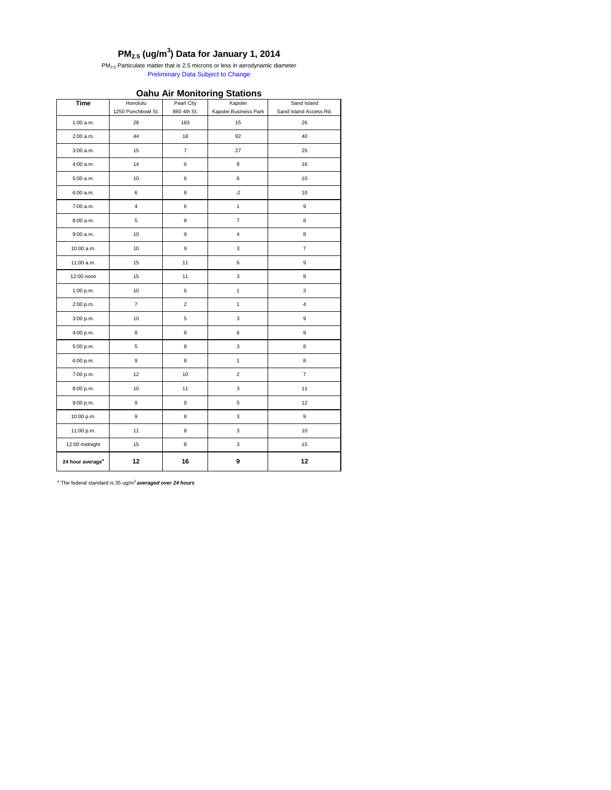|                              |                         |                  | ັ                         |                         |
|------------------------------|-------------------------|------------------|---------------------------|-------------------------|
| <b>Time</b>                  | Honolulu                | Pearl City       | Kapolei                   | Sand Island             |
|                              | 1250 Punchbowl St.      | 860 4th St.      | Kapolei Business Park     | Sand Island Access Rd.  |
| $1:00$ a.m.                  | 28                      | 183              | 15                        | 26                      |
| 2:00 a.m.                    | 44                      | $18$             | 92                        | 40                      |
| 3:00 a.m.                    | 15                      | $\boldsymbol{7}$ | 27                        | 25                      |
| 4:00 a.m.                    | 14                      | $\,6$            | $\,8\,$                   | $16\,$                  |
| 5:00 a.m.                    | $10$                    | $\,6\,$          | $\,6\,$                   | $10$                    |
| 6:00 a.m.                    | $\,6\,$                 | $\bf8$           | $-2$                      | $10\,$                  |
| 7:00 a.m.                    | $\overline{\mathbf{4}}$ | $\,6$            | $\mathbf{1}$              | $\boldsymbol{9}$        |
| 8:00 a.m.                    | 5                       | 8                | $\boldsymbol{7}$          | $\bf 8$                 |
| 9:00 a.m.                    | $10$                    | $\boldsymbol{9}$ | $\pmb{4}$                 | $\bf8$                  |
| 10:00 a.m.                   | $10$                    | $\boldsymbol{9}$ | $\ensuremath{\mathsf{3}}$ | $\overline{7}$          |
| 11:00 a.m.                   | 15                      | 11               | $\,6\,$                   | $\boldsymbol{9}$        |
| 12:00 noon                   | 15                      | 11               | $\ensuremath{\mathsf{3}}$ | $\bf 8$                 |
| 1:00 p.m.                    | 10                      | $\,6$            | $\mathbf{1}$              | $\mathsf 3$             |
| 2:00 p.m.                    | $\overline{7}$          | $\sqrt{2}$       | $\mathbf{1}$              | $\overline{\mathbf{4}}$ |
| 3:00 p.m.                    | $10$                    | $\mathbf 5$      | $\ensuremath{\mathsf{3}}$ | $\boldsymbol{9}$        |
| 4:00 p.m.                    | 8                       | $\bf8$           | $\,6\,$                   | $\boldsymbol{9}$        |
| 5:00 p.m.                    | 5                       | $\bf8$           | $\ensuremath{\mathsf{3}}$ | $\bf 8$                 |
| 6:00 p.m.                    | $\boldsymbol{9}$        | $\bf8$           | $\mathbf{1}$              | $\,8\,$                 |
| 7:00 p.m.                    | 12                      | $10\,$           | $\boldsymbol{2}$          | $\boldsymbol{7}$        |
| 8:00 p.m.                    | $10\,$                  | 11               | $\ensuremath{\mathsf{3}}$ | $11$                    |
| 9:00 p.m.                    | 9                       | $\boldsymbol{9}$ | $\,$ 5 $\,$               | 12                      |
| 10:00 p.m.                   | $\boldsymbol{9}$        | $\bf 8$          | $\ensuremath{\mathsf{3}}$ | $\boldsymbol{9}$        |
| 11:00 p.m.                   | 11                      | 8                | $\mathsf 3$               | $10$                    |
| 12:00 midnight               | $15\,$                  | $\bf 8$          | $\mathbf{3}$              | 15                      |
| 24 hour average <sup>a</sup> | 12                      | 16               | $\boldsymbol{9}$          | 12                      |

 $PM_{2.5}$  Particulate matter that is 2.5 microns or less in aerodynamic diameter Preliminary Data Subject to Change

# **PM2.5 (ug/m<sup>3</sup> ) Data for January 1, 2014**

## **Oahu Air Monitoring Stations**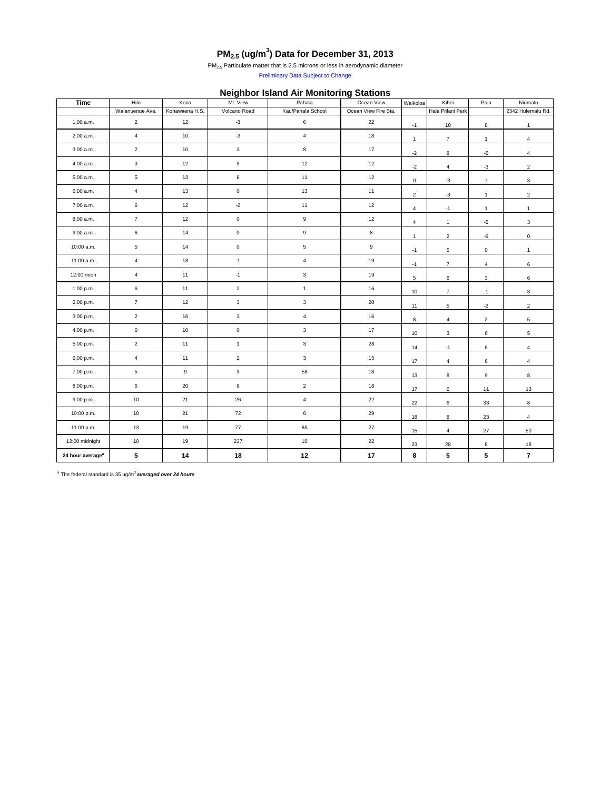| Time                         | Hilo            | Kona           | $\bf{v}$<br>Mt. View | Pahala            | Ocean View           | Waikoloa       | Kihei             | Paia                    | Niumalu           |
|------------------------------|-----------------|----------------|----------------------|-------------------|----------------------|----------------|-------------------|-------------------------|-------------------|
|                              | Waianuenue Ave. | Konawaena H.S. | Volcano Road         | Kau/Pahala School | Ocean View Fire Sta. |                | Hale Piilani Park |                         | 2342 Hulemalu Rd. |
| 1:00 a.m.                    | $\overline{2}$  | 12             | $-3$                 | $\,6\,$           | 22                   | $-1$           | 10                | 8                       | $\mathbf{1}$      |
| 2:00 a.m.                    | $\overline{4}$  | 10             | $-3$                 | $\overline{4}$    | 18                   | $\mathbf{1}$   | $\overline{7}$    | $\mathbf{1}$            | $\overline{4}$    |
| 3:00 a.m.                    | $\overline{2}$  | 10             | $\mathbf{3}$         | $\bf8$            | 17                   | $-2$           | 8                 | $-5$                    | $\overline{4}$    |
| 4:00 a.m.                    | $\mathbf{3}$    | 12             | $\boldsymbol{9}$     | 12                | 12                   | $-2$           | $\overline{4}$    | $-3$                    | $\overline{2}$    |
| 5:00 a.m.                    | $5\phantom{.0}$ | 13             | $\,6\,$              | 11                | 12                   | $\mathbf 0$    | $-3$              | $-1$                    | $\mathbf{3}$      |
| 6:00 a.m.                    | $\overline{4}$  | 13             | $\mathbf 0$          | 13                | 11                   | $\mathbf{2}$   | $-3$              | $\mathbf{1}$            | $\overline{2}$    |
| 7:00 a.m.                    | $\,$ 6 $\,$     | 12             | $\textnormal{-}2$    | 11                | 12                   | $\overline{4}$ | $-1$              | $\mathbf{1}$            | $\mathbf{1}$      |
| 8:00 a.m.                    | $\overline{7}$  | 12             | $\mathbf 0$          | $\boldsymbol{9}$  | 12                   | $\overline{4}$ | $\mathbf{1}$      | $-5$                    | $\mathbf{3}$      |
| 9:00 a.m.                    | $6\phantom{.}6$ | 14             | $\mathbf 0$          | $\boldsymbol{9}$  | $\bf8$               | $\mathbf{1}$   | $\overline{2}$    | $-6$                    | $\mathbf 0$       |
| 10:00 a.m.                   | $5\phantom{.0}$ | 14             | $\mathbf 0$          | $\overline{5}$    | $\boldsymbol{9}$     | $-1$           | $5\phantom{.0}$   | $\pmb{0}$               | $\mathbf{1}$      |
| 11:00 a.m.                   | $\overline{4}$  | 18             | $-1$                 | $\overline{4}$    | 19                   | $-1$           | $\overline{7}$    | $\overline{4}$          | $\,6\,$           |
| 12:00 noon                   | $\overline{4}$  | 11             | $-1$                 | $\mathbf{3}$      | 19                   | $\sqrt{5}$     | 6                 | $\mathbf 3$             | $\,6\,$           |
| 1:00 p.m.                    | $\,$ 6 $\,$     | 11             | $\overline{2}$       | $\mathbf{1}$      | 16                   | $10$           | $\overline{7}$    | $-1$                    | $\mathbf{3}$      |
| 2:00 p.m.                    | $\overline{7}$  | 12             | $\mathbf{3}$         | $\mathbf{3}$      | 20                   | 11             | $5\phantom{.0}$   | $-2$                    | $2\overline{ }$   |
| 3:00 p.m.                    | $\overline{2}$  | 16             | $\mathbf{3}$         | $\overline{4}$    | 16                   | 8              | $\overline{4}$    | $\overline{2}$          | $\sqrt{5}$        |
| 4:00 p.m.                    | $\mathbf 0$     | $10$           | $\mathbf 0$          | $\mathbf{3}$      | 17                   | 10             | $\mathbf{3}$      | $\,6\,$                 | $5\phantom{.0}$   |
| 5:00 p.m.                    | $\overline{2}$  | 11             | $\overline{1}$       | $\mathbf{3}$      | 28                   | 14             | $-1$              | 6                       | $\overline{4}$    |
| 6:00 p.m.                    | $\overline{4}$  | 11             | $\overline{2}$       | $\mathbf{3}$      | 15                   | 17             | $\overline{4}$    | 6                       | 4                 |
| 7:00 p.m.                    | $\overline{5}$  | 9              | $\mathbf{3}$         | 58                | 18                   | 13             | 8                 | 9                       | 8                 |
| 8:00 p.m.                    | $\,6\,$         | $20\,$         | $\,6\,$              | $\sqrt{2}$        | 18                   | 17             | $6\overline{6}$   | 11                      | $13$              |
| 9:00 p.m.                    | 10              | 21             | 26                   | $\overline{4}$    | 22                   | 22             | $6\overline{6}$   | 33                      | 8                 |
| 10:00 p.m.                   | 10              | 21             | 72                   | $\,$ 6 $\,$       | 29                   | 18             | 8                 | 23                      | $\overline{4}$    |
| 11:00 p.m.                   | 13              | 19             | 77                   | 85                | 27                   | 15             | $\overline{4}$    | 27                      | 50                |
| 12:00 midnight               | 10              | 19             | 237                  | 10                | 22                   | 23             | 28                | 8                       | 18                |
| 24 hour average <sup>a</sup> | $5\phantom{.0}$ | 14             | 18                   | 12                | 17                   | 8              | $5\phantom{.0}$   | $\overline{\mathbf{5}}$ | $\overline{7}$    |

# **PM2.5 (ug/m<sup>3</sup> ) Data for December 31, 2013**

 $PM<sub>2.5</sub>$  Particulate matter that is 2.5 microns or less in aerodynamic diameter

Preliminary Data Subject to Change

## **Neighbor Island Air Monitoring Stations**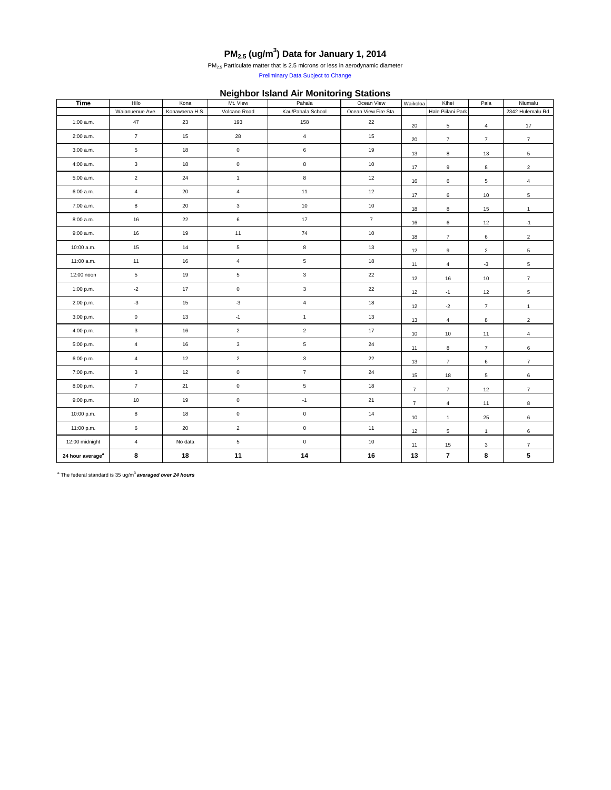| <b>Time</b>                  | Hilo                | Kona           | $\tilde{\phantom{a}}$<br>Mt. View | Pahala              | Ocean View           | Waikoloa       | Kihei             | Paia           | Niumalu           |
|------------------------------|---------------------|----------------|-----------------------------------|---------------------|----------------------|----------------|-------------------|----------------|-------------------|
|                              | Waianuenue Ave.     | Konawaena H.S. | Volcano Road                      | Kau/Pahala School   | Ocean View Fire Sta. |                | Hale Piilani Park |                | 2342 Hulemalu Rd. |
| 1:00 a.m.                    | 47                  | 23             | 193                               | 158                 | 22                   | $20\,$         | $\overline{5}$    | $\overline{4}$ | 17                |
| 2:00 a.m.                    | $\overline{7}$      | 15             | 28                                | $\overline{4}$      | 15                   | 20             | $\overline{7}$    | $\overline{7}$ | $\overline{7}$    |
| 3:00 a.m.                    | $5\phantom{.0}$     | 18             | $\mathbf 0$                       | $\bf 6$             | 19                   | 13             | 8                 | 13             | $\overline{5}$    |
| 4:00 a.m.                    | $\mathbf{3}$        | 18             | $\mathbf 0$                       | 8                   | 10                   | 17             | 9                 | $\,8\,$        | $\overline{2}$    |
| 5:00 a.m.                    | $\overline{2}$      | 24             | $\mathbf{1}$                      | 8                   | 12                   | 16             | $6\phantom{.0}$   | $\overline{5}$ | $\overline{4}$    |
| 6:00 a.m.                    | $\overline{4}$      | 20             | $\overline{4}$                    | 11                  | 12                   | 17             | 6                 | 10             | $\sqrt{5}$        |
| 7:00 a.m.                    | 8                   | $20\,$         | $\mathbf{3}$                      | 10                  | 10                   | 18             | 8                 | 15             | $\mathbf{1}$      |
| 8:00 a.m.                    | 16                  | 22             | $6\phantom{.}6$                   | 17                  | $\overline{7}$       | 16             | 6                 | 12             | $-1$              |
| 9:00 a.m.                    | 16                  | 19             | 11                                | 74                  | $10$                 | 18             | $\overline{7}$    | $\,6\,$        | $\overline{2}$    |
| 10:00 a.m.                   | 15                  | 14             | $\overline{5}$                    | $\bf 8$             | 13                   | 12             | 9                 | $\overline{2}$ | $5\phantom{.0}$   |
| 11:00 a.m.                   | 11                  | 16             | $\overline{4}$                    | $\sqrt{5}$          | 18                   | 11             | $\overline{4}$    | $-3$           | $5\overline{)}$   |
| 12:00 noon                   | $5\overline{)}$     | 19             | $5\phantom{.0}$                   | $\mathbf{3}$        | 22                   | 12             | 16                | 10             | $\overline{7}$    |
| 1:00 p.m.                    | $-2$                | 17             | $\mathbf 0$                       | $\mathbf{3}$        | 22                   | 12             | $-1$              | 12             | $\sqrt{5}$        |
| 2:00 p.m.                    | $-3$                | 15             | $-3$                              | $\overline{4}$      | 18                   | 12             | $-2$              | $\overline{7}$ | $\mathbf{1}$      |
| 3:00 p.m.                    | $\mathsf{O}\xspace$ | 13             | $-1$                              | $\mathbf{1}$        | 13                   | 13             | $\overline{4}$    | 8              | $\mathbf{2}$      |
| 4:00 p.m.                    | $\mathbf{3}$        | 16             | $\overline{2}$                    | $\overline{2}$      | 17                   | 10             | $10$              | 11             | $\overline{4}$    |
| 5:00 p.m.                    | $\overline{4}$      | 16             | $\mathbf{3}$                      | $\sqrt{5}$          | 24                   | 11             | 8                 | $\overline{7}$ | $\,6\,$           |
| 6:00 p.m.                    | $\overline{4}$      | 12             | $\overline{2}$                    | $\mathbf{3}$        | 22                   | 13             | $\overline{7}$    | $\,6\,$        | 7 <sup>7</sup>    |
| 7:00 p.m.                    | $\mathbf{3}$        | 12             | $\mathbf 0$                       | $\overline{7}$      | 24                   | 15             | 18                | $\,$ 5 $\,$    | 6                 |
| 8:00 p.m.                    | $\overline{7}$      | $21$           | $\mathbf 0$                       | $\sqrt{5}$          | 18                   | $\overline{7}$ | 7 <sup>7</sup>    | 12             | $\overline{7}$    |
| 9:00 p.m.                    | 10                  | 19             | $\mathbf 0$                       | $-1$                | 21                   | 7 <sup>7</sup> | $\overline{4}$    | 11             | 8                 |
| 10:00 p.m.                   | 8                   | 18             | $\mathbf 0$                       | $\mathbf 0$         | 14                   | 10             | $\mathbf{1}$      | 25             | 6                 |
| 11:00 p.m.                   | $6\overline{6}$     | $20\,$         | $\overline{2}$                    | $\mathsf{O}\xspace$ | 11                   | 12             | $5\overline{)}$   | $\mathbf{1}$   | $6\overline{6}$   |
| 12:00 midnight               | $\overline{4}$      | No data        | $\overline{5}$                    | $\mathbf 0$         | 10                   | 11             | 15                | 3              | 7 <sup>7</sup>    |
| 24 hour average <sup>a</sup> | 8                   | 18             | 11                                | 14                  | 16                   | 13             | $\overline{7}$    | 8              | 5 <sub>1</sub>    |

Preliminary Data Subject to Change

## **Neighbor Island Air Monitoring Stations**

## **PM2.5 (ug/m<sup>3</sup> ) Data for January 1, 2014**

PM<sub>2.5</sub> Particulate matter that is 2.5 microns or less in aerodynamic diameter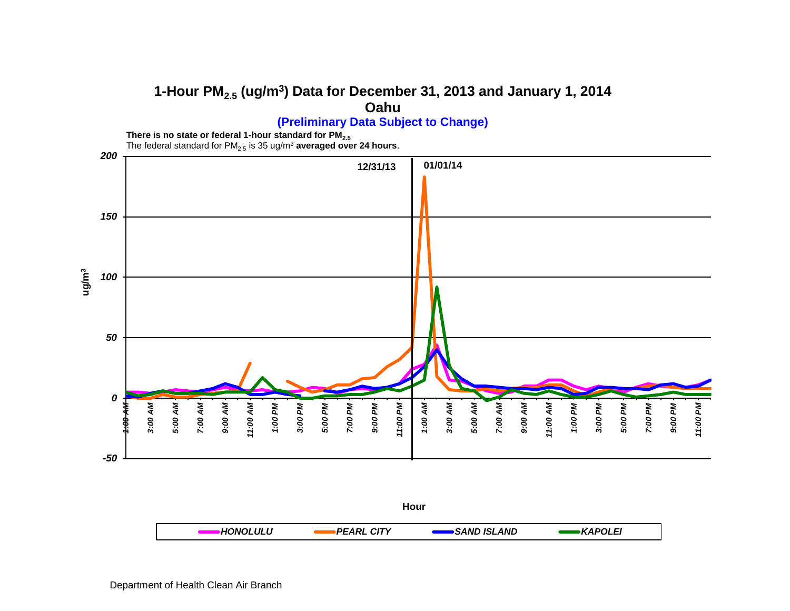#### **1-Hour PM2.5 (ug/m<sup>3</sup> ) Data for December 31, 2013 and January 1, 2014 Oahu**



**There is no state or federal 1-hour standard for PM2.5**

The federal standard for PM $_{2.5}$  is 35 ug/m $^3$  **averaged over 24 hours**.

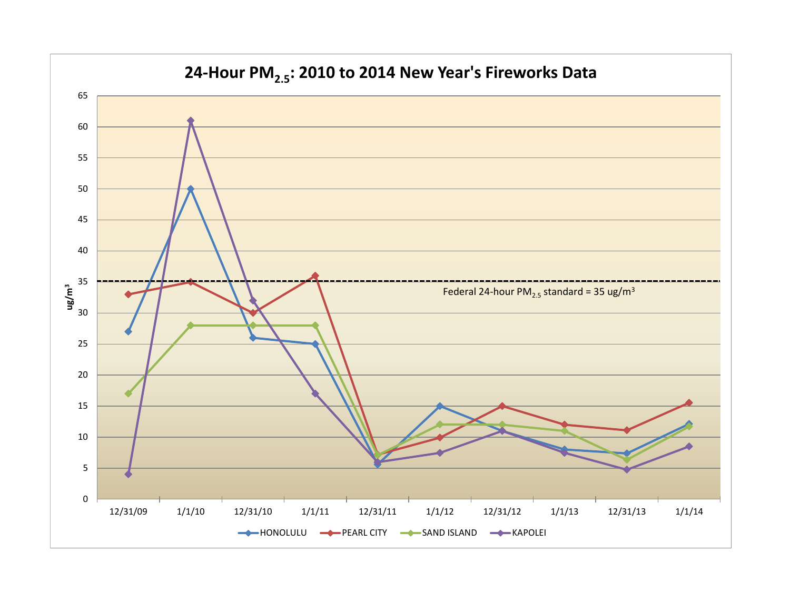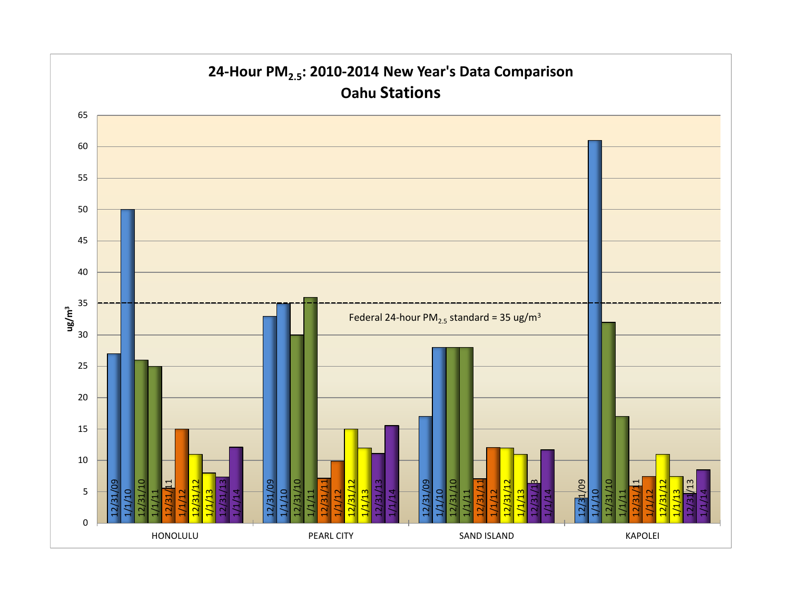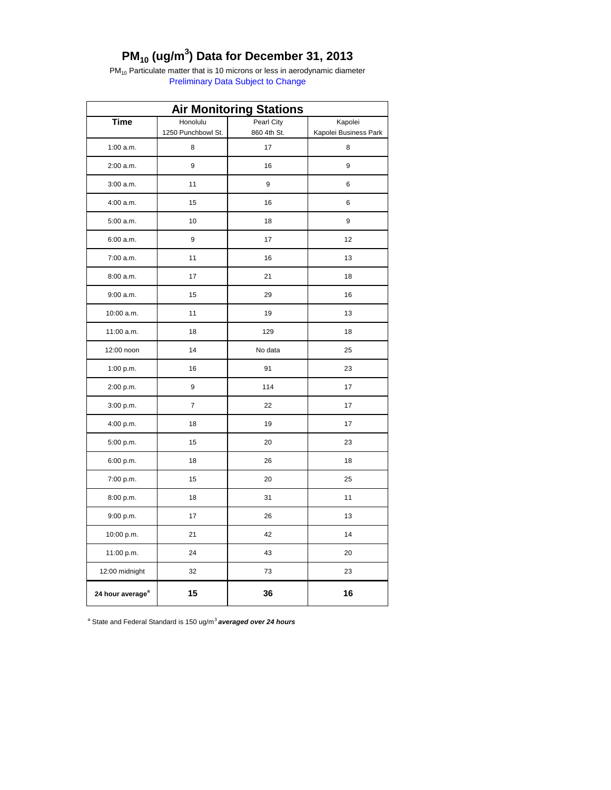## **PM10 (ug/m<sup>3</sup> ) Data for December 31, 2013**

 $PM_{10}$  Particulate matter that is 10 microns or less in aerodynamic diameter Preliminary Data Subject to Change

| <b>Air Monitoring Stations</b> |                                |                           |                                  |  |  |  |
|--------------------------------|--------------------------------|---------------------------|----------------------------------|--|--|--|
| <b>Time</b>                    | Honolulu<br>1250 Punchbowl St. | Pearl City<br>860 4th St. | Kapolei<br>Kapolei Business Park |  |  |  |
| $1:00$ a.m.                    | 8                              | 17                        | 8                                |  |  |  |
| 2:00 a.m.                      | 9                              | 16                        | 9                                |  |  |  |
| 3:00 a.m.                      | 11                             | 9                         | 6                                |  |  |  |
|                                |                                |                           |                                  |  |  |  |
| 4:00 a.m.                      | 15                             | 16                        | 6                                |  |  |  |
| 5:00 a.m.                      | 10                             | 18                        | 9                                |  |  |  |
| 6:00 a.m.                      | 9                              | 17                        | 12                               |  |  |  |
| 7:00 a.m.                      | 11                             | 16                        | 13                               |  |  |  |
| 8:00 a.m.                      | 17                             | 21                        | 18                               |  |  |  |
| 9:00 a.m.                      | 15                             | 29                        | 16                               |  |  |  |
| 10:00 a.m.                     | 11                             | 19                        | 13                               |  |  |  |
| 11:00 a.m.                     | 18                             | 129                       | 18                               |  |  |  |
| 12:00 noon                     | 14                             | No data                   | 25                               |  |  |  |
| 1:00 p.m.                      | 16                             | 91                        | 23                               |  |  |  |
| 2:00 p.m.                      | 9                              | 114                       | 17                               |  |  |  |
| 3:00 p.m.                      | $\overline{7}$                 | 22                        | 17                               |  |  |  |
| 4:00 p.m.                      | 18                             | 19                        | 17                               |  |  |  |
| 5:00 p.m.                      | 15                             | 20                        | 23                               |  |  |  |
| 6:00 p.m.                      | 18                             | 26                        | 18                               |  |  |  |
| 7:00 p.m.                      | 15                             | 20                        | 25                               |  |  |  |
| 8:00 p.m.                      | 18                             | 31                        | 11                               |  |  |  |
| 9:00 p.m.                      | 17                             | 26                        | 13                               |  |  |  |
| 10:00 p.m.                     | 21                             | 42                        | 14                               |  |  |  |
| 11:00 p.m.                     | 24                             | 43                        | 20                               |  |  |  |
| 12:00 midnight                 | 32                             | 73                        | 23                               |  |  |  |
| 24 hour average <sup>a</sup>   | 15                             | 36                        | 16                               |  |  |  |

<sup>a</sup> State and Federal Standard is 150 ug/m<sup>3</sup> averaged over 24 hours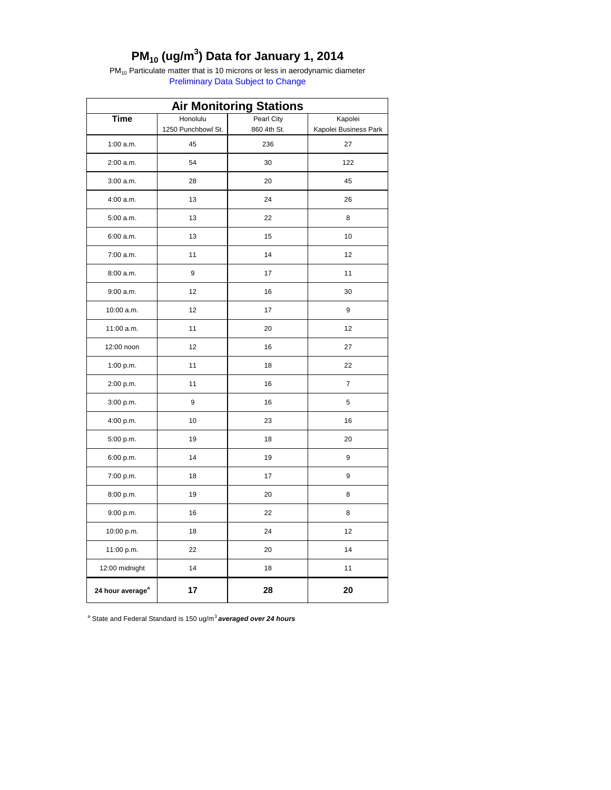## **PM10 (ug/m<sup>3</sup> ) Data for January 1, 2014**

 $PM_{10}$  Particulate matter that is 10 microns or less in aerodynamic diameter Preliminary Data Subject to Change

| <b>Air Monitoring Stations</b> |                          |                    |                             |  |  |  |
|--------------------------------|--------------------------|--------------------|-----------------------------|--|--|--|
| <b>Time</b>                    | Honolulu<br>Pearl City   |                    | Kapolei                     |  |  |  |
| $1:00$ a.m.                    | 1250 Punchbowl St.<br>45 | 860 4th St.<br>236 | Kapolei Business Park<br>27 |  |  |  |
|                                | 54                       | 30                 | 122                         |  |  |  |
| 2:00 a.m.                      |                          |                    |                             |  |  |  |
| 3:00 a.m.                      | 28                       | 20                 | 45                          |  |  |  |
| 4:00 a.m.                      | 13                       | 24                 | 26                          |  |  |  |
| 5:00 a.m.                      | 13                       | 22                 | 8                           |  |  |  |
| 6:00 a.m.                      | 13                       | 15                 | 10                          |  |  |  |
| 7:00 a.m.                      | 11                       | 14                 | 12                          |  |  |  |
| 8:00 a.m.                      | 9                        | 17                 | 11                          |  |  |  |
| 9:00 a.m.                      | 12                       | 16                 | 30                          |  |  |  |
| 10:00 a.m.                     | 12                       | 17                 | 9                           |  |  |  |
| 11:00 a.m.                     | 11                       | 20                 | 12                          |  |  |  |
| 12:00 noon                     | 12                       | 16                 | 27                          |  |  |  |
| 1:00 p.m.                      | 11                       | 18                 | 22                          |  |  |  |
| 2:00 p.m.                      | 11                       | 16                 | $\overline{7}$              |  |  |  |
| 3:00 p.m.                      | 9                        | 16                 | 5                           |  |  |  |
| 4:00 p.m.                      | 10                       | 23                 | 16                          |  |  |  |
| 5:00 p.m.                      | 19                       | 18                 | 20                          |  |  |  |
| 6:00 p.m.                      | 14                       | 19                 | 9                           |  |  |  |
| 7:00 p.m.                      | 18                       | 17                 | 9                           |  |  |  |
| 8:00 p.m.                      | 19                       | 20                 | 8                           |  |  |  |
| 9:00 p.m.                      | 16                       | 22                 | 8                           |  |  |  |
| 10:00 p.m.                     | 18                       | 24                 | 12                          |  |  |  |
| 11:00 p.m.                     | 22                       | 20                 | 14                          |  |  |  |
| 12:00 midnight                 | 14                       | 18                 | 11                          |  |  |  |
| 24 hour average <sup>a</sup>   | 17                       | 28                 | 20                          |  |  |  |

<sup>a</sup> State and Federal Standard is 150 ug/m<sup>3</sup> averaged over 24 hours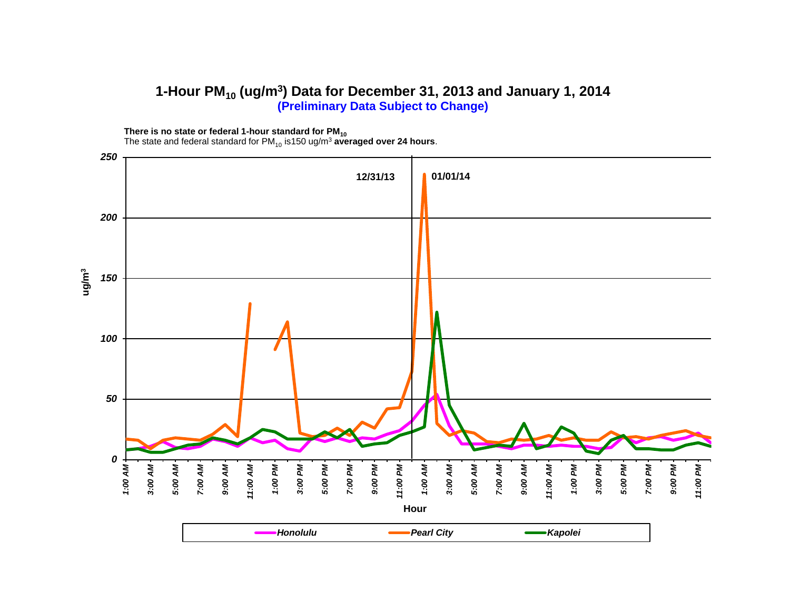#### **1-Hour PM<sup>10</sup> (ug/m<sup>3</sup> ) Data for December 31, 2013 and January 1, 2014 (Preliminary Data Subject to Change)**

**There is no state or federal 1-hour standard for PM<sup>10</sup>**

The state and federal standard for PM $_{10}$  is150 ug/m<sup>3</sup> averaged over 24 hours.

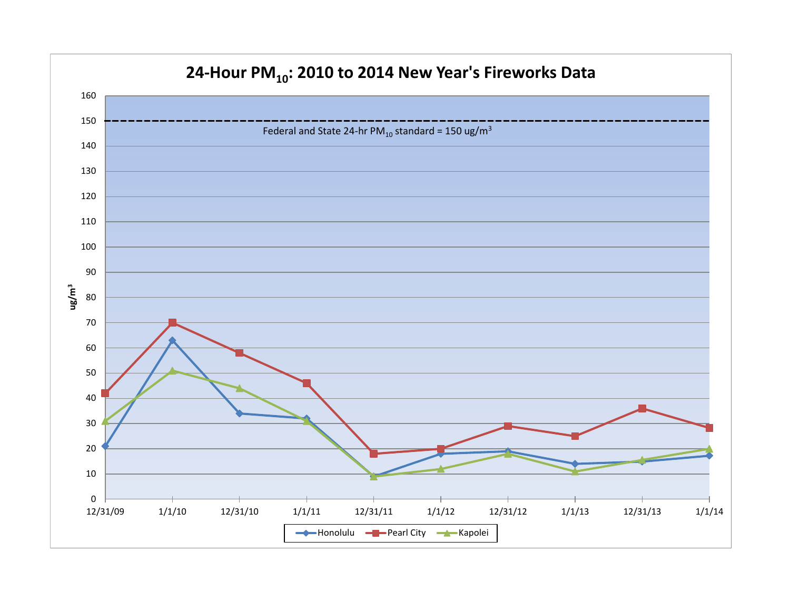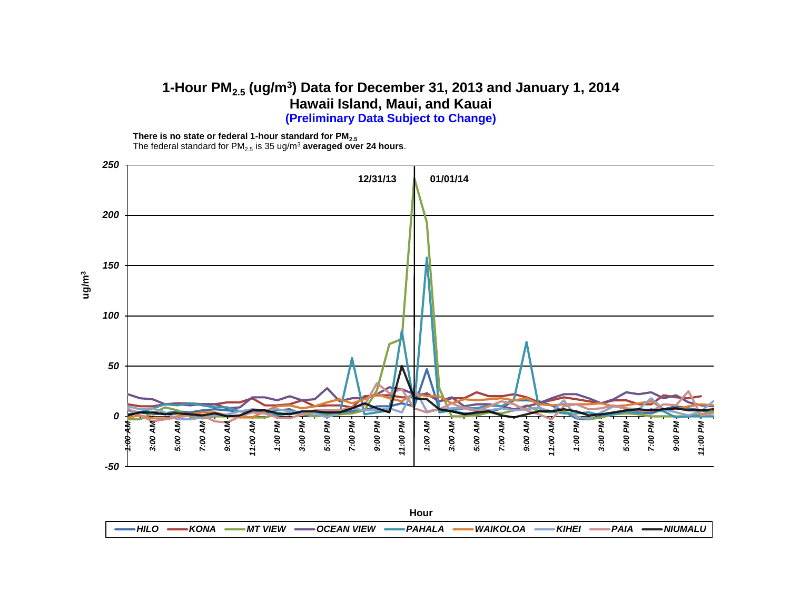#### **1-Hour PM2.5 (ug/m<sup>3</sup> ) Data for December 31, 2013 and January 1, 2014 Hawaii Island, Maui, and Kauai (Preliminary Data Subject to Change)**

**There is no state or federal 1-hour standard for PM2.5** The federal standard for PM<sub>2.5</sub> is 35 ug/m<sup>3</sup> averaged over 24 hours.